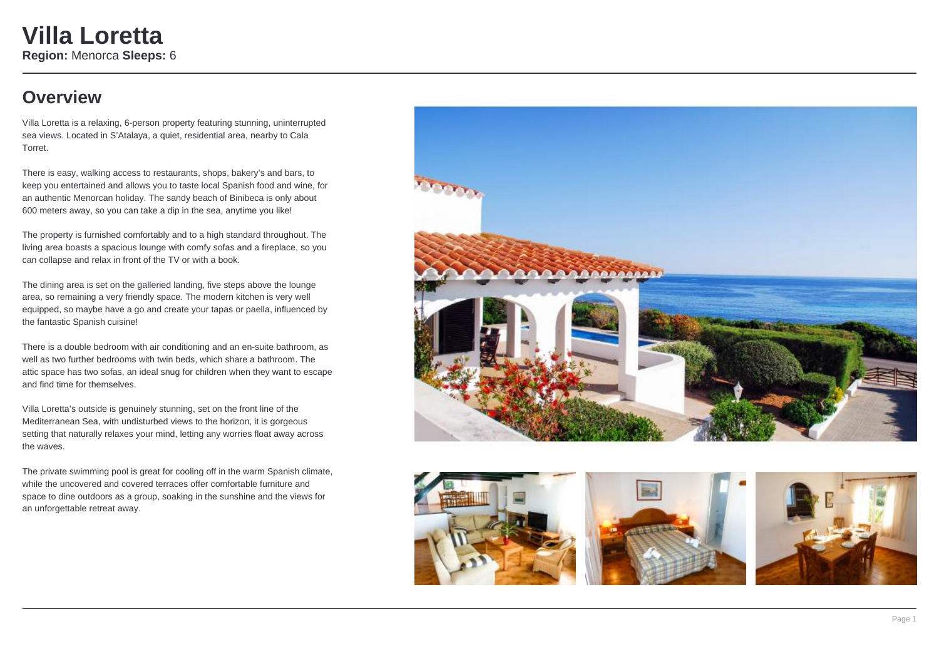### **Overview**

Villa Loretta is a relaxing, 6-person property featuring stunning, uninterrupted sea views. Located in S'Atalaya, a quiet, residential area, nearby to Cala Torret.

There is easy, walking access to restaurants, shops, bakery's and bars, to keep you entertained and allows you to taste local Spanish food and wine, for an authentic Menorcan holiday. The sandy beach of Binibeca is only about 600 meters away, so you can take a dip in the sea, anytime you like!

The property is furnished comfortably and to a high standard throughout. The living area boasts a spacious lounge with comfy sofas and a fireplace, so you can collapse and relax in front of the TV or with a book.

The dining area is set on the galleried landing, five steps above the lounge area, so remaining a very friendly space. The modern kitchen is very well equipped, so maybe have a go and create your tapas or paella, influenced by the fantastic Spanish cuisine!

There is a double bedroom with air conditioning and an en-suite bathroom, as well as two further bedrooms with twin beds, which share a bathroom. The attic space has two sofas, an ideal snug for children when they want to escape and find time for themselves.

Villa Loretta's outside is genuinely stunning, set on the front line of the Mediterranean Sea, with undisturbed views to the horizon, it is gorgeous setting that naturally relaxes your mind, letting any worries float away across the waves.

The private swimming pool is great for cooling off in the warm Spanish climate, while the uncovered and covered terraces offer comfortable furniture and space to dine outdoors as a group, soaking in the sunshine and the views for an unforgettable retreat away.



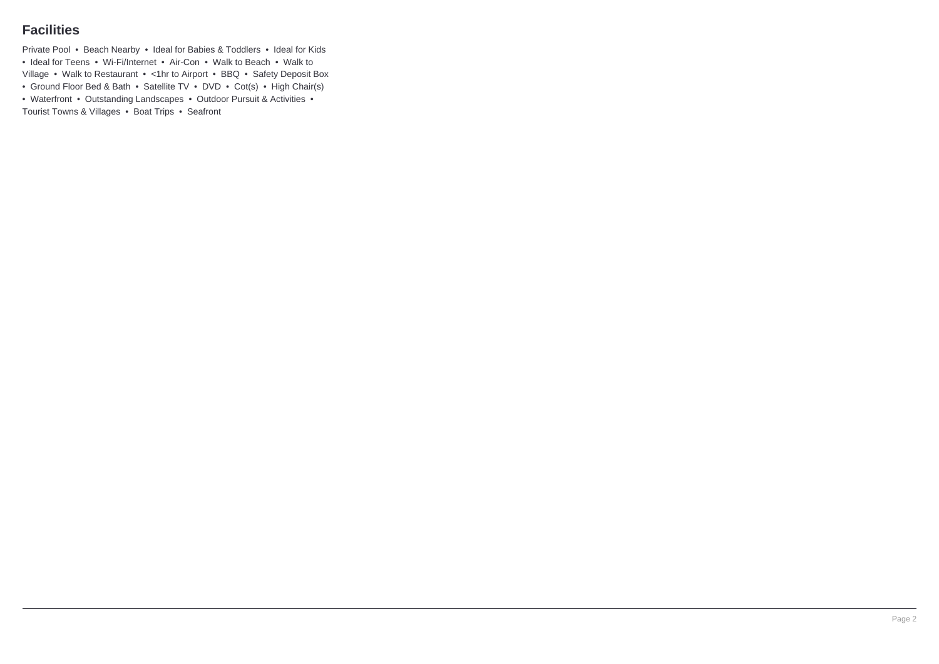### **Facilities**

Private Pool • Beach Nearby • Ideal for Babies & Toddlers • Ideal for Kids

- Ideal for Teens Wi-Fi/Internet Air-Con Walk to Beach Walk to
- Village Walk to Restaurant <1hr to Airport BBQ Safety Deposit Box
- Ground Floor Bed & Bath Satellite TV DVD Cot(s) High Chair(s)
- Waterfront Outstanding Landscapes Outdoor Pursuit & Activities •

Tourist Towns & Villages • Boat Trips • Seafront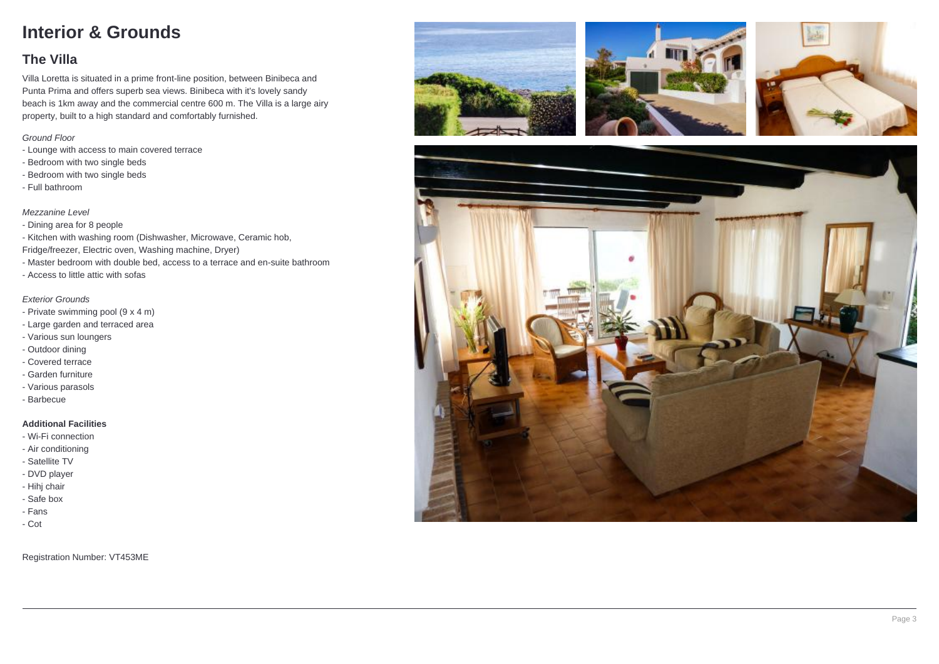# **Interior & Grounds**

### **The Villa**

Villa Loretta is situated in a prime front-line position, between Binibeca and Punta Prima and offers superb sea views. Binibeca with it's lovely sandy beach is 1km away and the commercial centre 600 m. The Villa is a large airy property, built to a high standard and comfortably furnished.

#### Ground Floor

- Lounge with access to main covered terrace
- Bedroom with two single beds
- Bedroom with two single beds
- Full bathroom

#### Mezzanine Level

- Dining area for 8 people
- Kitchen with washing room (Dishwasher, Microwave, Ceramic hob,
- Fridge/freezer, Electric oven, Washing machine, Dryer)
- Master bedroom with double bed, access to a terrace and en-suite bathroom
- Access to little attic with sofas

#### Exterior Grounds

- Private swimming pool (9 x 4 m)
- Large garden and terraced area
- Various sun loungers
- Outdoor dining
- Covered terrace
- Garden furniture
- Various parasols
- Barbecue

#### **Additional Facilities**

- Wi-Fi connection
- Air conditioning
- Satellite TV
- DVD player
- Hihj chair
- Safe box
- Fans
- Cot

Registration Number: VT453ME







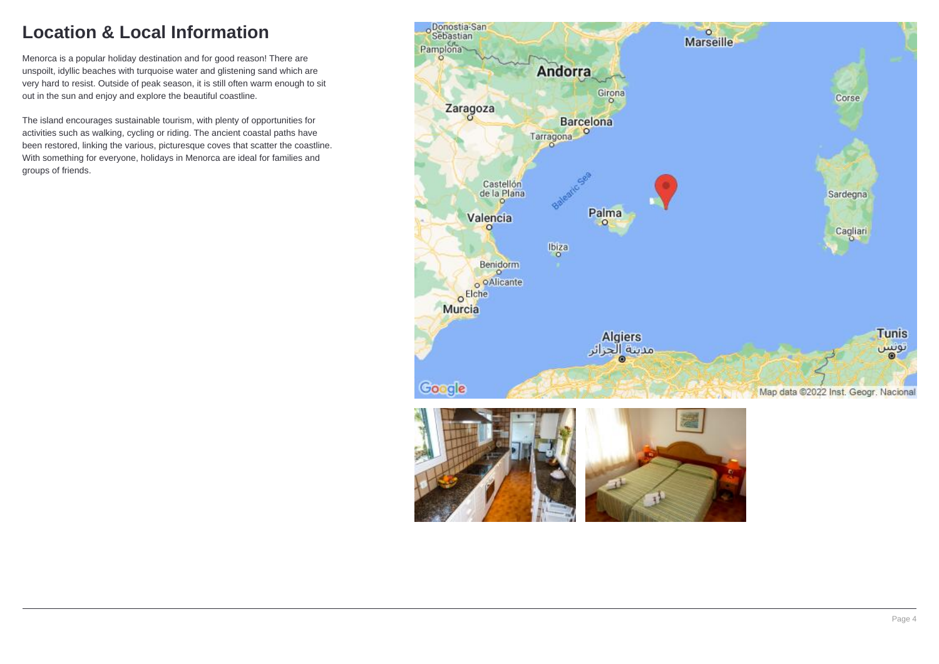## **Location & Local Information**

Menorca is a popular holiday destination and for good reason! There are unspoilt, idyllic beaches with turquoise water and glistening sand which are very hard to resist. Outside of peak season, it is still often warm enough to sit out in the sun and enjoy and explore the beautiful coastline.

The island encourages sustainable tourism, with plenty of opportunities for activities such as walking, cycling or riding. The ancient coastal paths have been restored, linking the various, picturesque coves that scatter the coastline. With something for everyone, holidays in Menorca are ideal for families and groups of friends.

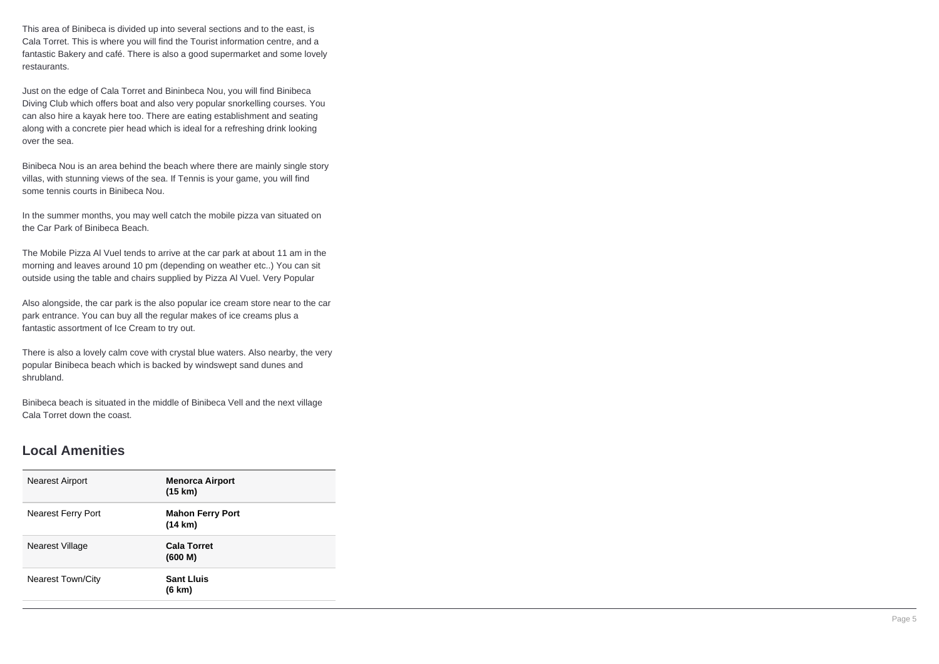This area of Binibeca is divided up into several sections and to the east, is Cala Torret. This is where you will find the Tourist information centre, and a fantastic Bakery and café. There is also a good supermarket and some lovely restaurants.

Just on the edge of Cala Torret and Bininbeca Nou, you will find Binibeca Diving Club which offers boat and also very popular snorkelling courses. You can also hire a kayak here too. There are eating establishment and seating along with a concrete pier head which is ideal for a refreshing drink looking over the sea.

Binibeca Nou is an area behind the beach where there are mainly single story villas, with stunning views of the sea. If Tennis is your game, you will find some tennis courts in Binibeca Nou.

In the summer months, you may well catch the mobile pizza van situated on the Car Park of Binibeca Beach.

The Mobile Pizza Al Vuel tends to arrive at the car park at about 11 am in the morning and leaves around 10 pm (depending on weather etc..) You can sit outside using the table and chairs supplied by Pizza Al Vuel. Very Popular

Also alongside, the car park is the also popular ice cream store near to the car park entrance. You can buy all the regular makes of ice creams plus a fantastic assortment of Ice Cream to try out.

There is also a lovely calm cove with crystal blue waters. Also nearby, the very popular Binibeca beach which is backed by windswept sand dunes and shrubland.

Binibeca beach is situated in the middle of Binibeca Vell and the next village Cala Torret down the coast.

### **Local Amenities**

| <b>Nearest Airport</b>    | <b>Menorca Airport</b><br>(15 km)  |
|---------------------------|------------------------------------|
| <b>Nearest Ferry Port</b> | <b>Mahon Ferry Port</b><br>(14 km) |
| Nearest Village           | <b>Cala Torret</b><br>(600 M)      |
| <b>Nearest Town/City</b>  | <b>Sant Lluis</b><br>(6 km)        |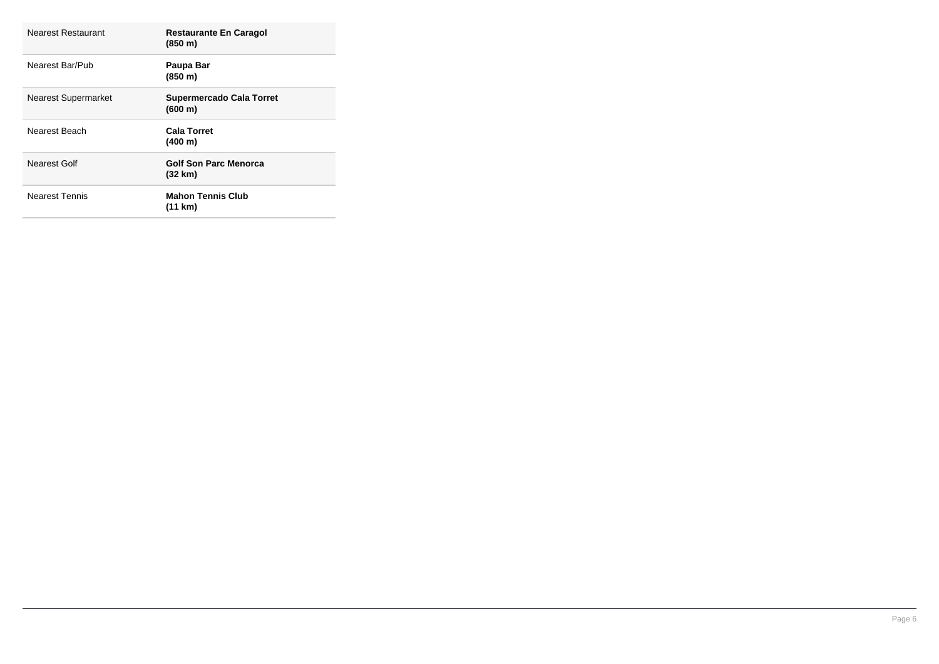| <b>Nearest Restaurant</b>  | <b>Restaurante En Caragol</b><br>(850 m)   |
|----------------------------|--------------------------------------------|
| Nearest Bar/Pub            | Paupa Bar<br>(850 m)                       |
| <b>Nearest Supermarket</b> | <b>Supermercado Cala Torret</b><br>(600 m) |
| Nearest Beach              | Cala Torret<br>(400 m)                     |
| Nearest Golf               | <b>Golf Son Parc Menorca</b><br>(32 km)    |
| <b>Nearest Tennis</b>      | <b>Mahon Tennis Club</b><br>(11 km)        |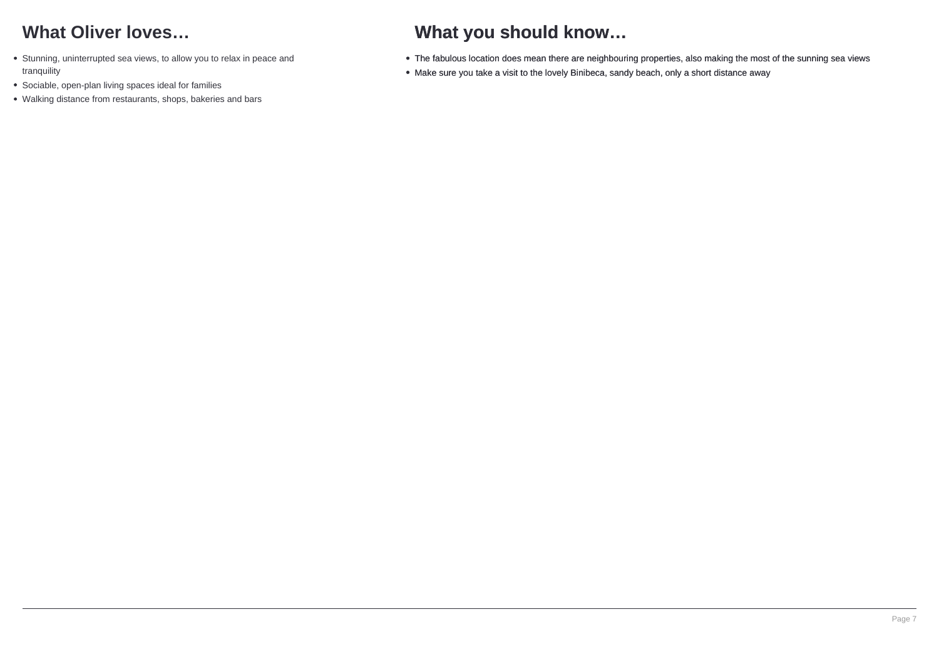### **What Oliver loves…**

- Stunning, uninterrupted sea views, to allow you to relax in peace and tranquility
- Sociable, open-plan living spaces ideal for families
- Walking distance from restaurants, shops, bakeries and bars

### **What you should know…**

- The fabulous location does mean there are neighbouring properties, also making the most of the sunning sea views
- Make sure you take a visit to the lovely Binibeca, sandy beach, only a short distance away